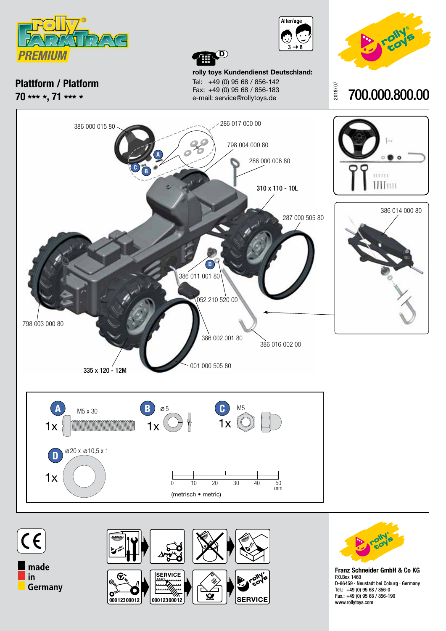





700.000.800.00

2018/ 07

**Plattform / Platform 70 \*\*\* \*, 71 \*\*\* \***

**rolly toys Kundendienst Deutschland:** Tel: +49 (0) 95 68 / 856-142 Fax: +49 (0) 95 68 / 856-183 e-mail: service@rollytoys.de

**D**







**Franz Schneider GmbH & Co KG** P.O.Box 1460 D-96459 · Neustadt bei Coburg · Germany Tel.: +49 (0) 95 68 / 856-0 Fax.: +49 (0) 95 68 / 856-190 www.rollytoys.com